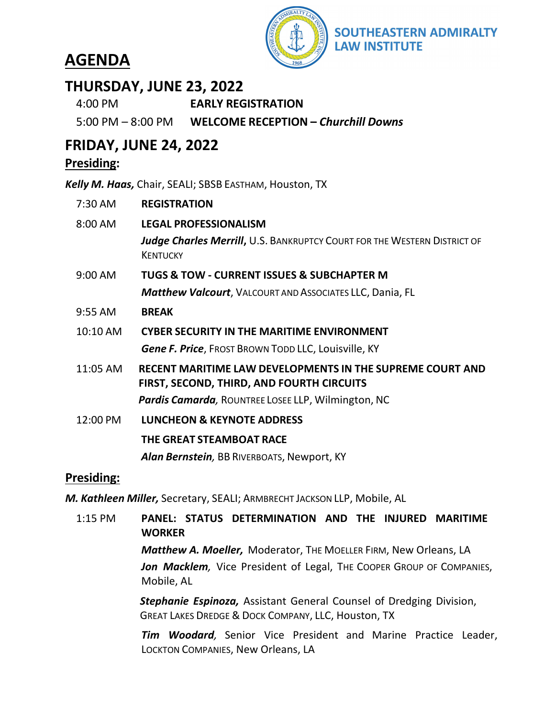# **AGENDA**



### **THURSDAY, JUNE 23, 2022**

| $4:00 \text{ PM}$    | <b>EARLY REGISTRATION</b>           |
|----------------------|-------------------------------------|
| $5:00$ PM $-8:00$ PM | WELCOME RECEPTION - Churchill Downs |

### **FRIDAY, JUNE 24, 2022**

#### **Presiding:**

*Kelly M. Haas,* Chair, SEALI; SBSB EASTHAM, Houston, TX

| 7:30 AM   | <b>REGISTRATION</b>                                                                                    |
|-----------|--------------------------------------------------------------------------------------------------------|
| 8:00 AM   | <b>LEGAL PROFESSIONALISM</b>                                                                           |
|           | Judge Charles Merrill, U.S. BANKRUPTCY COURT FOR THE WESTERN DISTRICT OF<br><b>KENTUCKY</b>            |
| 9:00 AM   | <b>TUGS &amp; TOW - CURRENT ISSUES &amp; SUBCHAPTER M</b>                                              |
|           | <b>Matthew Valcourt</b> , VALCOURT AND ASSOCIATES LLC, Dania, FL                                       |
| $9:55$ AM | <b>BREAK</b>                                                                                           |
| 10:10 AM  | <b>CYBER SECURITY IN THE MARITIME ENVIRONMENT</b>                                                      |
|           | <b>Gene F. Price, FROST BROWN TODD LLC, Louisville, KY</b>                                             |
| 11:05 AM  | RECENT MARITIME LAW DEVELOPMENTS IN THE SUPREME COURT AND<br>FIRST, SECOND, THIRD, AND FOURTH CIRCUITS |
|           | <b>Pardis Camarda, ROUNTREE LOSEE LLP, Wilmington, NC</b>                                              |
| 12:00 PM  | <b>LUNCHEON &amp; KEYNOTE ADDRESS</b>                                                                  |
|           | THE GREAT STEAMBOAT RACE                                                                               |
|           | Alan Bernstein, BB RIVERBOATS, Newport, KY                                                             |
|           |                                                                                                        |

#### **Presiding:**

*M. Kathleen Miller,* Secretary, SEALI; ARMBRECHT JACKSON LLP, Mobile, AL

1:15 PM **PANEL: STATUS DETERMINATION AND THE INJURED MARITIME WORKER** *Matthew A. Moeller,* Moderator, THE MOELLER FIRM, New Orleans, LA Jon Macklem, Vice President of Legal, THE COOPER GROUP OF COMPANIES, Mobile, AL *Stephanie Espinoza,* Assistant General Counsel of Dredging Division, GREAT LAKES DREDGE & DOCK COMPANY, LLC, Houston, TX

> *Tim Woodard,* Senior Vice President and Marine Practice Leader, LOCKTON COMPANIES, New Orleans, LA